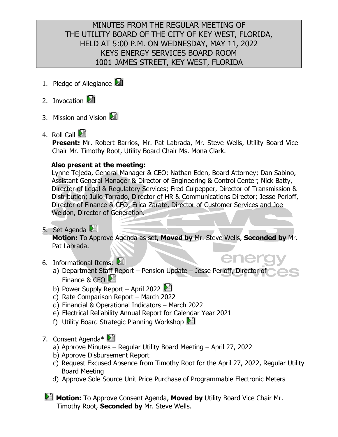## MINUTES FROM THE REGULAR MEETING OF THE UTILITY BOARD OF THE CITY OF KEY WEST, FLORIDA, HELD AT 5:00 P.M. ON WEDNESDAY, MAY 11, 2022 KEYS ENERGY SERVICES BOARD ROOM 1001 JAMES STREET, KEY WEST, FLORIDA

- 1. Pledge of Allegiance
- 2. Invocation  $\Box$
- 3. Mission and Vision
- 4. Roll Call  $\mathbb{E}$

Present: Mr. Robert Barrios, Mr. Pat Labrada, Mr. Steve Wells, Utility Board Vice Chair Mr. Timothy Root, Utility Board Chair Ms. Mona Clark.

#### **Also present at the meeting:**

Lynne Tejeda, General Manager & CEO; Nathan Eden, Board Attorney; Dan Sabino, Assistant General Manager & Director of Engineering & Control Center; Nick Batty, Director of Legal & Regulatory Services; Fred Culpepper, Director of Transmission & Distribution; Julio Torrado, Director of HR & Communications Director; Jesse Perloff, Director of Finance & CFO; Erica Zarate, Director of Customer Services and Joe Weldon, Director of Generation.

### 5. Set Agenda

**Motion:** To Approve Agenda as set, **Moved by** Mr. Steve Wells, **Seconded by** Mr. Pat Labrada.

- 6. Informational Items:
	- a) Department Staff Report Pension Update Jesse Perloff, Director of Finance & CFO 2
	- b) Power Supply Report April 2022
	- c) Rate Comparison Report March 2022
	- d) Financial & Operational Indicators March 2022
	- e) Electrical Reliability Annual Report for Calendar Year 2021
	- f) Utility Board Strategic Planning Workshop 2
- 7. Consent Agenda<sup>\*</sup>
	- a) Approve Minutes Regular Utility Board Meeting April 27, 2022
	- b) Approve Disbursement Report
	- c) Request Excused Absence from Timothy Root for the April 27, 2022, Regular Utility Board Meeting
	- d) Approve Sole Source Unit Price Purchase of Programmable Electronic Meters

**Motion:** To Approve Consent Agenda, Moved by Utility Board Vice Chair Mr. Timothy Root, **Seconded by** Mr. Steve Wells.